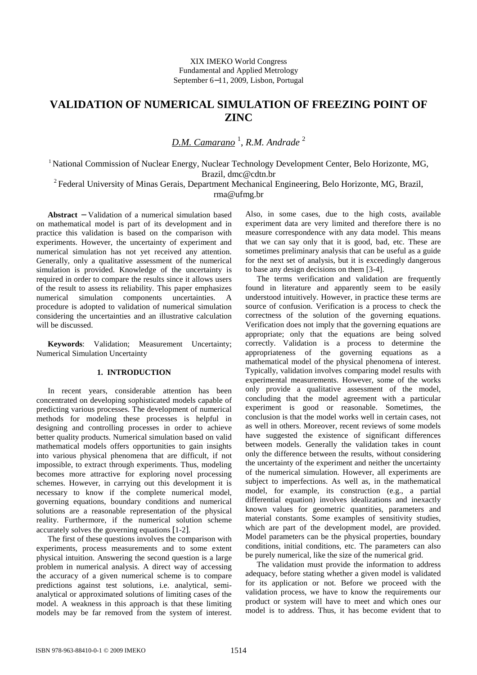# **VALIDATION OF NUMERICAL SIMULATION OF FREEZING POINT OF ZINC**

*D.M. Camarano* <sup>1</sup> , *R.M. Andrade* <sup>2</sup>

<sup>1</sup> National Commission of Nuclear Energy, Nuclear Technology Development Center, Belo Horizonte, MG, Brazil, dmc@cdtn.br

 $2$ Federal University of Minas Gerais, Department Mechanical Engineering, Belo Horizonte, MG, Brazil, rma@ufmg.br

**Abstract** − Validation of a numerical simulation based on mathematical model is part of its development and in practice this validation is based on the comparison with experiments. However, the uncertainty of experiment and numerical simulation has not yet received any attention. Generally, only a qualitative assessment of the numerical simulation is provided. Knowledge of the uncertainty is required in order to compare the results since it allows users of the result to assess its reliability. This paper emphasizes simulation components uncertainties. A procedure is adopted to validation of numerical simulation considering the uncertainties and an illustrative calculation will be discussed.

**Keywords**: Validation; Measurement Uncertainty; Numerical Simulation Uncertainty

# **1. INTRODUCTION**

In recent years, considerable attention has been concentrated on developing sophisticated models capable of predicting various processes. The development of numerical methods for modeling these processes is helpful in designing and controlling processes in order to achieve better quality products. Numerical simulation based on valid mathematical models offers opportunities to gain insights into various physical phenomena that are difficult, if not impossible, to extract through experiments. Thus, modeling becomes more attractive for exploring novel processing schemes. However, in carrying out this development it is necessary to know if the complete numerical model, governing equations, boundary conditions and numerical solutions are a reasonable representation of the physical reality. Furthermore, if the numerical solution scheme accurately solves the governing equations [1-2].

The first of these questions involves the comparison with experiments, process measurements and to some extent physical intuition. Answering the second question is a large problem in numerical analysis. A direct way of accessing the accuracy of a given numerical scheme is to compare predictions against test solutions, i.e. analytical, semianalytical or approximated solutions of limiting cases of the model. A weakness in this approach is that these limiting models may be far removed from the system of interest.

Also, in some cases, due to the high costs, available experiment data are very limited and therefore there is no measure correspondence with any data model. This means that we can say only that it is good, bad, etc. These are sometimes preliminary analysis that can be useful as a guide for the next set of analysis, but it is exceedingly dangerous to base any design decisions on them [3-4].

The terms verification and validation are frequently found in literature and apparently seem to be easily understood intuitively. However, in practice these terms are source of confusion. Verification is a process to check the correctness of the solution of the governing equations. Verification does not imply that the governing equations are appropriate; only that the equations are being solved correctly. Validation is a process to determine the appropriateness of the governing equations as a mathematical model of the physical phenomena of interest. Typically, validation involves comparing model results with experimental measurements. However, some of the works only provide a qualitative assessment of the model, concluding that the model agreement with a particular experiment is good or reasonable. Sometimes, the conclusion is that the model works well in certain cases, not as well in others. Moreover, recent reviews of some models have suggested the existence of significant differences between models. Generally the validation takes in count only the difference between the results, without considering the uncertainty of the experiment and neither the uncertainty of the numerical simulation. However, all experiments are subject to imperfections. As well as, in the mathematical model, for example, its construction (e.g., a partial differential equation) involves idealizations and inexactly known values for geometric quantities, parameters and material constants. Some examples of sensitivity studies, which are part of the development model, are provided. Model parameters can be the physical properties, boundary conditions, initial conditions, etc. The parameters can also be purely numerical, like the size of the numerical grid.

The validation must provide the information to address adequacy, before stating whether a given model is validated for its application or not. Before we proceed with the validation process, we have to know the requirements our product or system will have to meet and which ones our model is to address. Thus, it has become evident that to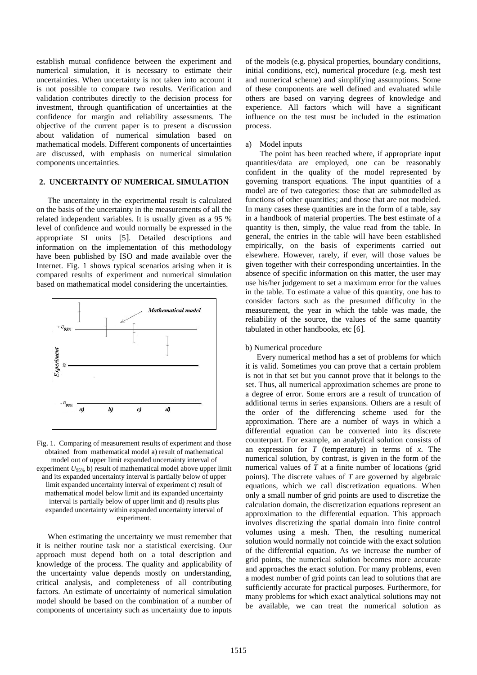establish mutual confidence between the experiment and numerical simulation, it is necessary to estimate their uncertainties. When uncertainty is not taken into account it is not possible to compare two results. Verification and validation contributes directly to the decision process for investment, through quantification of uncertainties at the confidence for margin and reliability assessments. The objective of the current paper is to present a discussion about validation of numerical simulation based on mathematical models. Different components of uncertainties are discussed, with emphasis on numerical simulation components uncertainties.

# **2. UNCERTAINTY OF NUMERICAL SIMULATION**

The uncertainty in the experimental result is calculated on the basis of the uncertainty in the measurements of all the related independent variables. It is usually given as a 95 % level of confidence and would normally be expressed in the appropriate SI units [5]. Detailed descriptions and information on the implementation of this methodology have been published by ISO and made available over the Internet. Fig. 1 shows typical scenarios arising when it is compared results of experiment and numerical simulation based on mathematical model considering the uncertainties.



Fig. 1. Comparing of measurement results of experiment and those obtained from mathematical model a) result of mathematical model out of upper limit expanded uncertainty interval of experiment  $U_{95\%}$  b) result of mathematical model above upper limit and its expanded uncertainty interval is partially below of upper limit expanded uncertainty interval of experiment c) result of mathematical model below limit and its expanded uncertainty interval is partially below of upper limit and d) results plus expanded uncertainty within expanded uncertainty interval of experiment.

When estimating the uncertainty we must remember that it is neither routine task nor a statistical exercising. Our approach must depend both on a total description and knowledge of the process. The quality and applicability of the uncertainty value depends mostly on understanding, critical analysis, and completeness of all contributing factors. An estimate of uncertainty of numerical simulation model should be based on the combination of a number of components of uncertainty such as uncertainty due to inputs

of the models (e.g. physical properties, boundary conditions, initial conditions, etc), numerical procedure (e.g. mesh test and numerical scheme) and simplifying assumptions. Some of these components are well defined and evaluated while others are based on varying degrees of knowledge and experience. All factors which will have a significant influence on the test must be included in the estimation process.

#### a) Model inputs

The point has been reached where, if appropriate input quantities/data are employed, one can be reasonably confident in the quality of the model represented by governing transport equations. The input quantities of a model are of two categories: those that are submodelled as functions of other quantities; and those that are not modeled. In many cases these quantities are in the form of a table, say in a handbook of material properties. The best estimate of a quantity is then, simply, the value read from the table. In general, the entries in the table will have been established empirically, on the basis of experiments carried out elsewhere. However, rarely, if ever, will those values be given together with their corresponding uncertainties. In the absence of specific information on this matter, the user may use his/her judgement to set a maximum error for the values in the table. To estimate a value of this quantity, one has to consider factors such as the presumed difficulty in the measurement, the year in which the table was made, the reliability of the source, the values of the same quantity tabulated in other handbooks, etc [6].

#### b) Numerical procedure

Every numerical method has a set of problems for which it is valid. Sometimes you can prove that a certain problem is not in that set but you cannot prove that it belongs to the set. Thus, all numerical approximation schemes are prone to a degree of error. Some errors are a result of truncation of additional terms in series expansions. Others are a result of the order of the differencing scheme used for the approximation. There are a number of ways in which a differential equation can be converted into its discrete counterpart. For example, an analytical solution consists of an expression for *T* (temperature) in terms of *x*. The numerical solution, by contrast, is given in the form of the numerical values of *T* at a finite number of locations (grid points). The discrete values of *T* are governed by algebraic equations, which we call discretization equations. When only a small number of grid points are used to discretize the calculation domain, the discretization equations represent an approximation to the differential equation. This approach involves discretizing the spatial domain into finite control volumes using a mesh. Then, the resulting numerical solution would normally not coincide with the exact solution of the differential equation. As we increase the number of grid points, the numerical solution becomes more accurate and approaches the exact solution. For many problems, even a modest number of grid points can lead to solutions that are sufficiently accurate for practical purposes. Furthermore, for many problems for which exact analytical solutions may not be available, we can treat the numerical solution as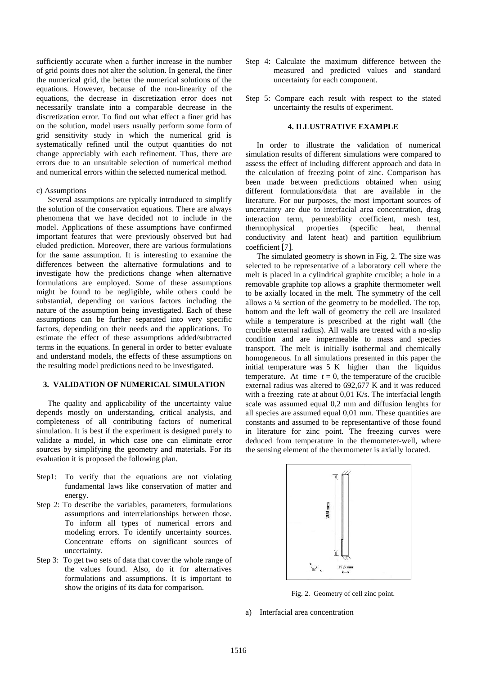sufficiently accurate when a further increase in the number of grid points does not alter the solution. In general, the finer the numerical grid, the better the numerical solutions of the equations. However, because of the non-linearity of the equations, the decrease in discretization error does not necessarily translate into a comparable decrease in the discretization error. To find out what effect a finer grid has on the solution, model users usually perform some form of grid sensitivity study in which the numerical grid is systematically refined until the output quantities do not change appreciably with each refinement. Thus, there are errors due to an unsuitable selection of numerical method and numerical errors within the selected numerical method.

#### c) Assumptions

Several assumptions are typically introduced to simplify the solution of the conservation equations. There are always phenomena that we have decided not to include in the model. Applications of these assumptions have confirmed important features that were previously observed but had eluded prediction. Moreover, there are various formulations for the same assumption. It is interesting to examine the differences between the alternative formulations and to investigate how the predictions change when alternative formulations are employed. Some of these assumptions might be found to be negligible, while others could be substantial, depending on various factors including the nature of the assumption being investigated. Each of these assumptions can be further separated into very specific factors, depending on their needs and the applications. To estimate the effect of these assumptions added/subtracted terms in the equations. In general in order to better evaluate and understand models, the effects of these assumptions on the resulting model predictions need to be investigated.

## **3. VALIDATION OF NUMERICAL SIMULATION**

The quality and applicability of the uncertainty value depends mostly on understanding, critical analysis, and completeness of all contributing factors of numerical simulation. It is best if the experiment is designed purely to validate a model, in which case one can eliminate error sources by simplifying the geometry and materials. For its evaluation it is proposed the following plan.

- Step1: To verify that the equations are not violating fundamental laws like conservation of matter and energy.
- Step 2: To describe the variables, parameters, formulations assumptions and interrelationships between those. To inform all types of numerical errors and modeling errors. To identify uncertainty sources. Concentrate efforts on significant sources of uncertainty.
- Step 3: To get two sets of data that cover the whole range of the values found. Also, do it for alternatives formulations and assumptions. It is important to show the origins of its data for comparison.
- Step 4: Calculate the maximum difference between the measured and predicted values and standard uncertainty for each component.
- Step 5: Compare each result with respect to the stated uncertainty the results of experiment.

# **4. ILLUSTRATIVE EXAMPLE**

In order to illustrate the validation of numerical simulation results of different simulations were compared to assess the effect of including different approach and data in the calculation of freezing point of zinc. Comparison has been made between predictions obtained when using different formulations/data that are available in the literature. For our purposes, the most important sources of uncertainty are due to interfacial area concentration, drag interaction term, permeability coefficient, mesh test, thermophysical properties (specific heat, thermal conductivity and latent heat) and partition equilibrium coefficient [7].

The simulated geometry is shown in Fig. 2. The size was selected to be representative of a laboratory cell where the melt is placed in a cylindrical graphite crucible; a hole in a removable graphite top allows a graphite thermometer well to be axially located in the melt. The symmetry of the cell allows a ¼ section of the geometry to be modelled. The top, bottom and the left wall of geometry the cell are insulated while a temperature is prescribed at the right wall (the crucible external radius). All walls are treated with a no-slip condition and are impermeable to mass and species transport. The melt is initially isothermal and chemically homogeneous. In all simulations presented in this paper the initial temperature was 5 K higher than the liquidus temperature. At time  $t = 0$ , the temperature of the crucible external radius was altered to 692,677 K and it was reduced with a freezing rate at about 0,01 K/s. The interfacial length scale was assumed equal 0,2 mm and diffusion lenghts for all species are assumed equal 0,01 mm. These quantities are constants and assumed to be representantive of those found in literature for zinc point. The freezing curves were deduced from temperature in the themometer-well, where the sensing element of the thermometer is axially located.



Fig. 2. Geometry of cell zinc point.

a) Interfacial area concentration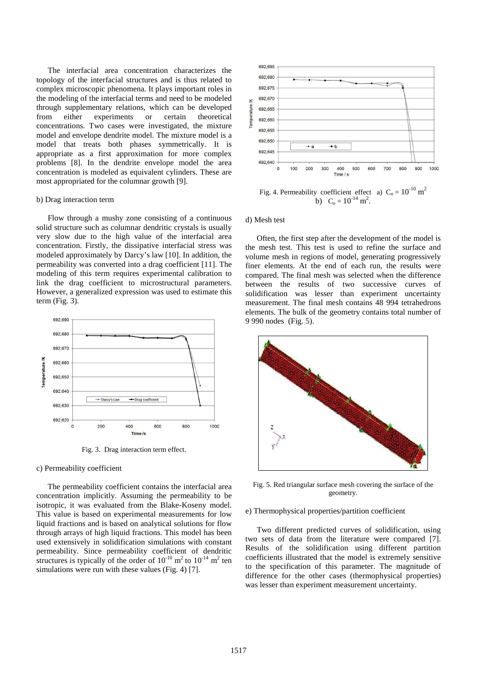The interfacial area concentration characterizes the topology of the interfacial structures and is thus related to complex microscopic phenomena. It plays important roles in the modeling of the interfacial terms and need to be modeled through supplementary relations, which can be developed from either experiments or certain theoretical concentrations. Two cases were investigated, the mixture model and envelope dendrite model. The mixture model is a model that treats both phases symmetrically. It is appropriate as a first approximation for more complex problems [8]. In the dendrite envelope model the area concentration is modeled as equivalent cylinders. These are most appropriated for the columnar growth [9].

#### b) Drag interaction term

Flow through a mushy zone consisting of a continuous solid structure such as columnar dendritic crystals is usually very slow due to the high value of the interfacial area concentration. Firstly, the dissipative interfacial stress was modeled approximately by Darcy's law [10]. In addition, the permeability was converted into a drag coefficient [11]. The modeling of this term requires experimental calibration to link the drag coefficient to microstructural parameters. However, a generalized expression was used to estimate this term (Fig. 3).



Fig. 3. Drag interaction term effect.

## c) Permeability coefficient

The permeability coefficient contains the interfacial area concentration implicitly. Assuming the permeability to be isotropic, it was evaluated from the Blake-Koseny model. This value is based on experimental measurements for low liquid fractions and is based on analytical solutions for flow through arrays of high liquid fractions. This model has been used extensively in solidification simulations with constant permeability. Since permeability coefficient of dendritic structures is typically of the order of  $10^{-10}$  m<sup>2</sup> to  $10^{-14}$  m<sup>2</sup> ten simulations were run with these values (Fig. 4) [7].



Fig. 4. Permeability coefficient effect a)  $C_0 = 10^{-10}$  m<sup>2</sup> b)  $C_0 = 10^{-14} m^2$ .

#### d) Mesh test

Often, the first step after the development of the model is the mesh test. This test is used to refine the surface and volume mesh in regions of model, generating progressively finer elements. At the end of each run, the results were compared. The final mesh was selected when the difference between the results of two successive curves of solidification was lesser than experiment uncertainty measurement. The final mesh contains 48 994 tetrahedrons elements. The bulk of the geometry contains total number of 9 990 nodes (Fig. 5).



Fig. 5. Red triangular surface mesh covering the surface of the geometry.

#### e) Thermophysical properties/partition coefficient

Two different predicted curves of solidification, using two sets of data from the literature were compared [7]. Results of the solidification using different partition coefficients illustrated that the model is extremely sensitive to the specification of this parameter. The magnitude of difference for the other cases (thermophysical properties) was lesser than experiment measurement uncertainty.